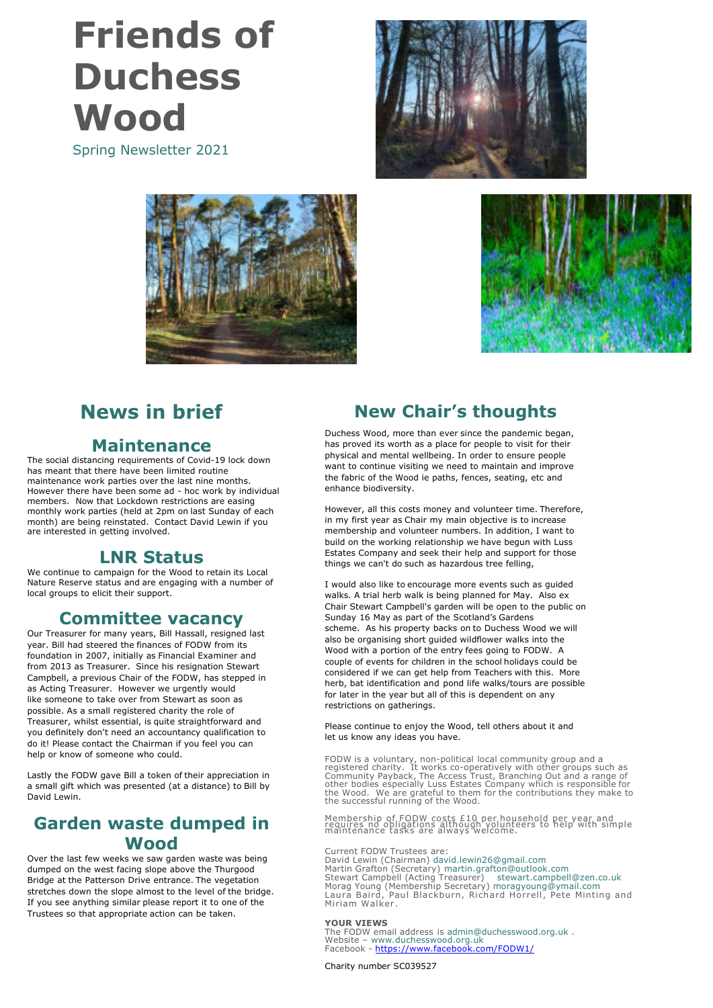# **Friends of Duchess Wood**

Spring Newsletter 2021







## **News in brief**

#### **Maintenance**

The social distancing requirements of Covid-19 lock down has meant that there have been limited routine maintenance work parties over the last nine months. However there have been some ad - hoc work by individual members. Now that Lockdown restrictions are easing monthly work parties (held at 2pm on last Sunday of each month) are being reinstated. Contact David Lewin if you are interested in getting involved.

#### **LNR Status**

We continue to campaign for the Wood to retain its Local Nature Reserve status and are engaging with a number of local groups to elicit their support.

### **Committee vacancy**

Our Treasurer for many years, Bill Hassall, resigned last year. Bill had steered the finances of FODW from its foundation in 2007, initially as Financial Examiner and from 2013 as Treasurer. Since his resignation Stewart Campbell, a previous Chair of the FODW, has stepped in as Acting Treasurer. However we urgently would like someone to take over from Stewart as soon as possible. As a small registered charity the role of Treasurer, whilst essential, is quite straightforward and you definitely don't need an accountancy qualification to do it! Please contact the Chairman if you feel you can help or know of someone who could.

Lastly the FODW gave Bill a token of their appreciation in a small gift which was presented (at a distance) to Bill by David Lewin.

### **Garden waste dumped in Wood**

Over the last few weeks we saw garden waste was being dumped on the west facing slope above the Thurgood Bridge at the Patterson Drive entrance. The vegetation stretches down the slope almost to the level of the bridge. If you see anything similar please report it to one of the Trustees so that appropriate action can be taken.

## **New Chair's thoughts**

Duchess Wood, more than ever since the pandemic began, has proved its worth as a place for people to visit for their physical and mental wellbeing. In order to ensure people want to continue visiting we need to maintain and improve the fabric of the Wood ie paths, fences, seating, etc and enhance biodiversity.

However, all this costs money and volunteer time. Therefore, in my first year as Chair my main objective is to increase membership and volunteer numbers. In addition, I want to build on the working relationship we have begun with Luss Estates Company and seek their help and support for those things we can't do such as hazardous tree felling,

I would also like to encourage more events such as guided walks. A trial herb walk is being planned for May. Also ex Chair Stewart Campbell's garden will be open to the public on Sunday 16 May as part of the Scotland's Gardens scheme. As his property backs on to Duchess Wood we will also be organising short guided wildflower walks into the Wood with a portion of the entry fees going to FODW. A couple of events for children in the school holidays could be considered if we can get help from Teachers with this. More herb, bat identification and pond life walks/tours are possible for later in the year but all of this is dependent on any restrictions on gatherings.

Please continue to enjoy the Wood, tell others about it and let us know any ideas you have.

FODW is a voluntary, non-political local community group and a<br>registered charity. It works co-operatively with other groups such as<br>Community Payback, The Access Trust, Branching Out and a range of<br>other bodies especially

Membership of FODW costs £10 per household per year and requires no obligations although volunteers to help with simple maintenance tasks are always welcome.

Current FODW Trustees are: David Lewin (Chairman) david.lewin26@gmail.com Martin Grafton (Secretary) martin.grafton@outlook.com Stewart Campbell (Acting Treasurer) stewart.campbell@zen.co.uk Morag Young (Membership Secretary) moragyoung@ymail.com Laura Baird, Paul Blackburn, Richard Horrell, Pete Minting and Miriam Walker .

**YOUR VIEWS** The FODW email address is admin@duchesswood.org.uk . Website – www.duchesswood.org.uk Facebook - https://www.facebook.com/FODW1/

Charity number SC039527